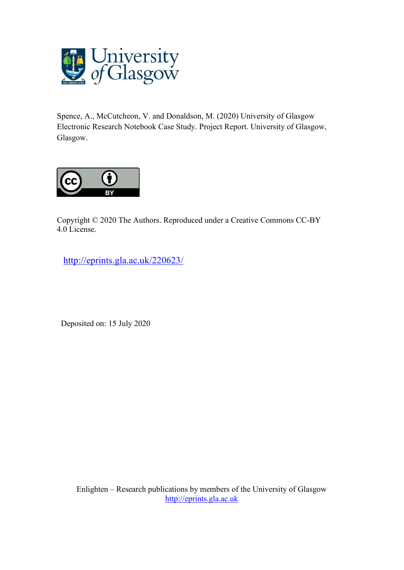

Spence, A., McCutcheon, V. and Donaldson, M. (2020) University of Glasgow Electronic Research Notebook Case Study. Project Report. University of Glasgow, Glasgow.



Copyright © 2020 The Authors. Reproduced under a Creative Commons CC-BY 4.0 License.

<http://eprints.gla.ac.uk/220623/>

Deposited on: 15 July 2020

Enlighten – Research publications by members of the University of Glasgow [http://eprints.gla.ac.uk](http://eprints.gla.ac.uk/)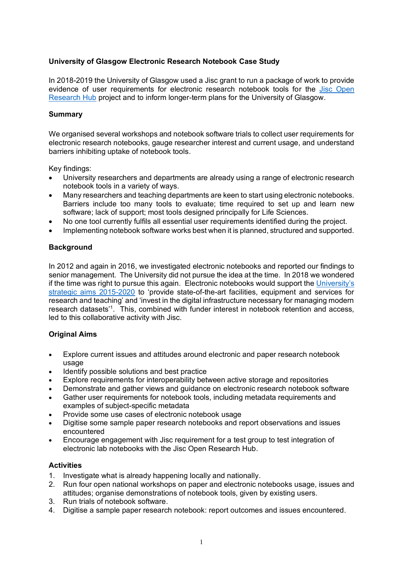# **University of Glasgow Electronic Research Notebook Case Study**

In 2018-2019 the University of Glasgow used a Jisc grant to run a package of work to provide evidence of user requirements for electronic research notebook tools for the [Jisc Open](https://www.jisc.ac.uk/open-research-hub)  [Research Hub](https://www.jisc.ac.uk/open-research-hub) project and to inform longer-term plans for the University of Glasgow.

## **Summary**

We organised several workshops and notebook software trials to collect user requirements for electronic research notebooks, gauge researcher interest and current usage, and understand barriers inhibiting uptake of notebook tools.

Key findings:

- University researchers and departments are already using a range of electronic research notebook tools in a variety of ways.
- Many researchers and teaching departments are keen to start using electronic notebooks. Barriers include too many tools to evaluate; time required to set up and learn new software; lack of support; most tools designed principally for Life Sciences.
- No one tool currently fulfils all essential user requirements identified during the project.
- Implementing notebook software works best when it is planned, structured and supported.

# **Background**

In 2012 and again in 2016, we investigated electronic notebooks and reported our findings to senior management. The University did not pursue the idea at the time. In 2018 we wondered if the time was right to pursue this again. Electronic notebooks would support the [University's](https://www.gla.ac.uk/explore/strategy/)  [strategic aims 2015-2020](https://www.gla.ac.uk/explore/strategy/) to 'provide state-of-the-art facilities, equipment and services for research and teaching' and 'invest in the digital infrastructure necessary for managing modern research datasets'1. This, combined with funder interest in notebook retention and access, led to this collaborative activity with Jisc.

## **Original Aims**

- Explore current issues and attitudes around electronic and paper research notebook usage
- Identify possible solutions and best practice
- Explore requirements for interoperability between active storage and repositories
- Demonstrate and gather views and guidance on electronic research notebook software
- Gather user requirements for notebook tools, including metadata requirements and examples of subject-specific metadata
- Provide some use cases of electronic notebook usage
- Digitise some sample paper research notebooks and report observations and issues encountered
- Encourage engagement with Jisc requirement for a test group to test integration of electronic lab notebooks with the Jisc Open Research Hub.

## **Activities**

- 1. Investigate what is already happening locally and nationally.
- 2. Run four open national workshops on paper and electronic notebooks usage, issues and attitudes; organise demonstrations of notebook tools, given by existing users.
- 3. Run trials of notebook software.
- 4. Digitise a sample paper research notebook: report outcomes and issues encountered.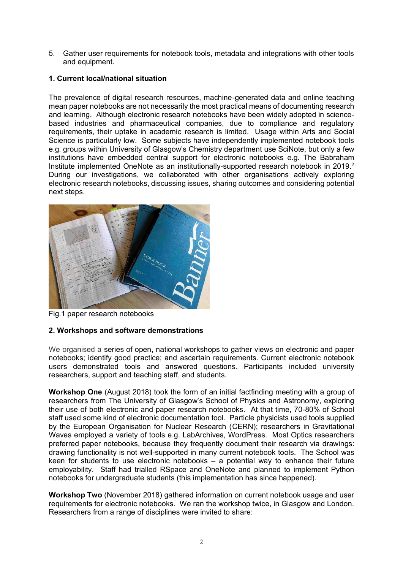5. Gather user requirements for notebook tools, metadata and integrations with other tools and equipment.

# **1. Current local/national situation**

The prevalence of digital research resources, machine-generated data and online teaching mean paper notebooks are not necessarily the most practical means of documenting research and learning. Although electronic research notebooks have been widely adopted in sciencebased industries and pharmaceutical companies, due to compliance and regulatory requirements, their uptake in academic research is limited. Usage within Arts and Social Science is particularly low. Some subjects have independently implemented notebook tools e.g. groups within University of Glasgow's Chemistry department use SciNote, but only a few institutions have embedded central support for electronic notebooks e.g. The Babraham Institute implemented OneNote as an institutionally-supported research notebook in 2019.<sup>2</sup> During our investigations, we collaborated with other organisations actively exploring electronic research notebooks, discussing issues, sharing outcomes and considering potential next steps.



Fig.1 paper research notebooks

## **2. Workshops and software demonstrations**

We organised a series of open, national workshops to gather views on electronic and paper notebooks; identify good practice; and ascertain requirements. Current electronic notebook users demonstrated tools and answered questions. Participants included university researchers, support and teaching staff, and students.

**Workshop One** (August 2018) took the form of an initial factfinding meeting with a group of researchers from The University of Glasgow's School of Physics and Astronomy, exploring their use of both electronic and paper research notebooks. At that time, 70-80% of School staff used some kind of electronic documentation tool. Particle physicists used tools supplied by the European Organisation for Nuclear Research (CERN); researchers in Gravitational Waves employed a variety of tools e.g. LabArchives, WordPress. Most Optics researchers preferred paper notebooks, because they frequently document their research via drawings: drawing functionality is not well-supported in many current notebook tools. The School was keen for students to use electronic notebooks  $-$  a potential way to enhance their future employability. Staff had trialled RSpace and OneNote and planned to implement Python notebooks for undergraduate students (this implementation has since happened).

**Workshop Two** (November 2018) gathered information on current notebook usage and user requirements for electronic notebooks. We ran the workshop twice, in Glasgow and London. Researchers from a range of disciplines were invited to share: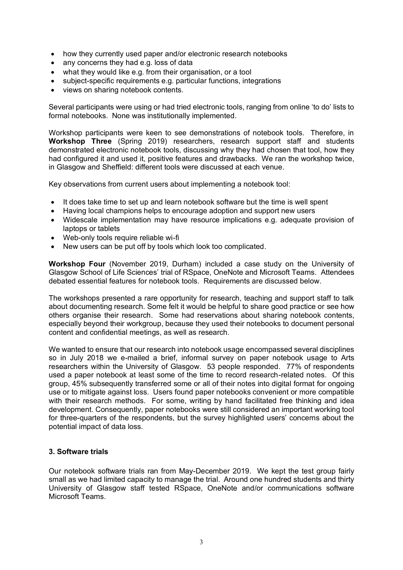- how they currently used paper and/or electronic research notebooks
- any concerns they had e.g. loss of data
- what they would like e.g. from their organisation, or a tool
- subject-specific requirements e.g. particular functions, integrations
- views on sharing notebook contents.

Several participants were using or had tried electronic tools, ranging from online 'to do' lists to formal notebooks. None was institutionally implemented.

Workshop participants were keen to see demonstrations of notebook tools. Therefore, in **Workshop Three** (Spring 2019) researchers, research support staff and students demonstrated electronic notebook tools, discussing why they had chosen that tool, how they had configured it and used it, positive features and drawbacks. We ran the workshop twice, in Glasgow and Sheffield: different tools were discussed at each venue.

Key observations from current users about implementing a notebook tool:

- It does take time to set up and learn notebook software but the time is well spent
- Having local champions helps to encourage adoption and support new users
- Widescale implementation may have resource implications e.g. adequate provision of laptops or tablets
- Web-only tools require reliable wi-fi
- New users can be put off by tools which look too complicated.

**Workshop Four** (November 2019, Durham) included a case study on the University of Glasgow School of Life Sciences' trial of RSpace, OneNote and Microsoft Teams. Attendees debated essential features for notebook tools. Requirements are discussed below.

The workshops presented a rare opportunity for research, teaching and support staff to talk about documenting research. Some felt it would be helpful to share good practice or see how others organise their research. Some had reservations about sharing notebook contents, especially beyond their workgroup, because they used their notebooks to document personal content and confidential meetings, as well as research.

We wanted to ensure that our research into notebook usage encompassed several disciplines so in July 2018 we e-mailed a brief, informal survey on paper notebook usage to Arts researchers within the University of Glasgow. 53 people responded. 77% of respondents used a paper notebook at least some of the time to record research-related notes. Of this group, 45% subsequently transferred some or all of their notes into digital format for ongoing use or to mitigate against loss. Users found paper notebooks convenient or more compatible with their research methods. For some, writing by hand facilitated free thinking and idea development. Consequently, paper notebooks were still considered an important working tool for three-quarters of the respondents, but the survey highlighted users' concerns about the potential impact of data loss.

## **3. Software trials**

Our notebook software trials ran from May-December 2019. We kept the test group fairly small as we had limited capacity to manage the trial. Around one hundred students and thirty University of Glasgow staff tested RSpace, OneNote and/or communications software Microsoft Teams.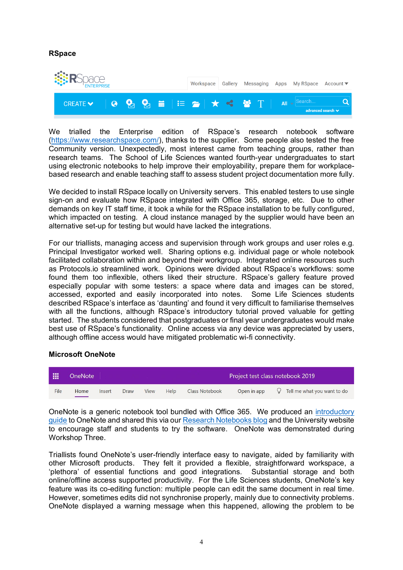## **RSpace**



We trialled the Enterprise edition of RSpace's research notebook software [\(https://www.researchspace.com/\)](https://www.researchspace.com/), thanks to the supplier. Some people also tested the free Community version. Unexpectedly, most interest came from teaching groups, rather than research teams. The School of Life Sciences wanted fourth-year undergraduates to start using electronic notebooks to help improve their employability, prepare them for workplacebased research and enable teaching staff to assess student project documentation more fully.

We decided to install RSpace locally on University servers. This enabled testers to use single sign-on and evaluate how RSpace integrated with Office 365, storage, etc. Due to other demands on key IT staff time, it took a while for the RSpace installation to be fully configured, which impacted on testing. A cloud instance managed by the supplier would have been an alternative set-up for testing but would have lacked the integrations.

For our triallists, managing access and supervision through work groups and user roles e.g. Principal Investigator worked well. Sharing options e.g. individual page or whole notebook facilitated collaboration within and beyond their workgroup. Integrated online resources such as Protocols.io streamlined work. Opinions were divided about RSpace's workflows: some found them too inflexible, others liked their structure. RSpace's gallery feature proved especially popular with some testers: a space where data and images can be stored, accessed, exported and easily incorporated into notes. Some Life Sciences students described RSpace's interface as 'daunting' and found it very difficult to familiarise themselves with all the functions, although RSpace's introductory tutorial proved valuable for getting started. The students considered that postgraduates or final year undergraduates would make best use of RSpace's functionality. Online access via any device was appreciated by users, although offline access would have mitigated problematic wi-fi connectivity.

## **Microsoft OneNote**

| 冊    | OneNote |        |             |      |      |                | Project test class notebook 2019 |                                           |
|------|---------|--------|-------------|------|------|----------------|----------------------------------|-------------------------------------------|
| File | Home    | Insert | <b>Draw</b> | View | Help | Class Notebook | Open in app                      | $\mathcal{Q}$ Tell me what you want to do |

OneNote is a generic notebook tool bundled with Office 365. We produced an [introductory](http://eprints.gla.ac.uk/205017/)  [guide](http://eprints.gla.ac.uk/205017/) to OneNote and shared this via our [Research Notebooks](https://researchnotebooks.wordpress.com/) blog and the University website to encourage staff and students to try the software. OneNote was demonstrated during Workshop Three.

Triallists found OneNote's user-friendly interface easy to navigate, aided by familiarity with other Microsoft products. They felt it provided a flexible, straightforward workspace, a 'plethora' of essential functions and good integrations. Substantial storage and both online/offline access supported productivity. For the Life Sciences students, OneNote's key feature was its co-editing function: multiple people can edit the same document in real time. However, sometimes edits did not synchronise properly, mainly due to connectivity problems. OneNote displayed a warning message when this happened, allowing the problem to be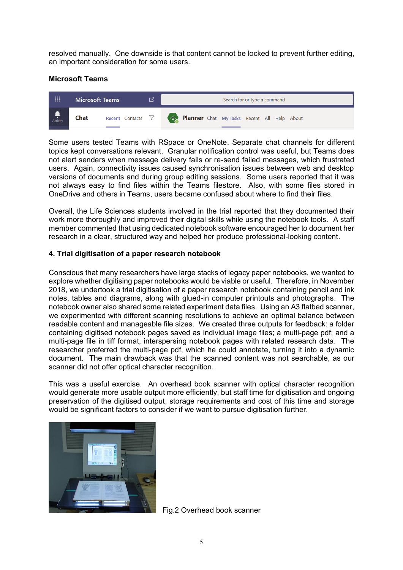resolved manually. One downside is that content cannot be locked to prevent further editing, an important consideration for some users.

## **Microsoft Teams**



Some users tested Teams with RSpace or OneNote. Separate chat channels for different topics kept conversations relevant. Granular notification control was useful, but Teams does not alert senders when message delivery fails or re-send failed messages, which frustrated users. Again, connectivity issues caused synchronisation issues between web and desktop versions of documents and during group editing sessions. Some users reported that it was not always easy to find files within the Teams filestore. Also, with some files stored in OneDrive and others in Teams, users became confused about where to find their files.

Overall, the Life Sciences students involved in the trial reported that they documented their work more thoroughly and improved their digital skills while using the notebook tools. A staff member commented that using dedicated notebook software encouraged her to document her research in a clear, structured way and helped her produce professional-looking content.

# **4. Trial digitisation of a paper research notebook**

Conscious that many researchers have large stacks of legacy paper notebooks, we wanted to explore whether digitising paper notebooks would be viable or useful. Therefore, in November 2018, we undertook a trial digitisation of a paper research notebook containing pencil and ink notes, tables and diagrams, along with glued-in computer printouts and photographs. The notebook owner also shared some related experiment data files. Using an A3 flatbed scanner, we experimented with different scanning resolutions to achieve an optimal balance between readable content and manageable file sizes. We created three outputs for feedback: a folder containing digitised notebook pages saved as individual image files; a multi-page pdf; and a multi-page file in tiff format, interspersing notebook pages with related research data. The researcher preferred the multi-page pdf, which he could annotate, turning it into a dynamic document. The main drawback was that the scanned content was not searchable, as our scanner did not offer optical character recognition.

This was a useful exercise. An overhead book scanner with optical character recognition would generate more usable output more efficiently, but staff time for digitisation and ongoing preservation of the digitised output, storage requirements and cost of this time and storage would be significant factors to consider if we want to pursue digitisation further.



Fig.2 Overhead book scanner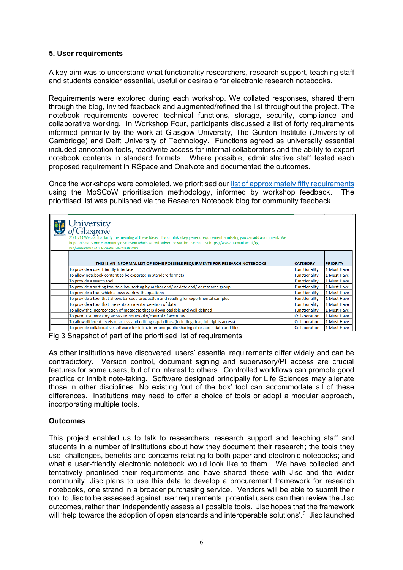## **5. User requirements**

A key aim was to understand what functionality researchers, research support, teaching staff and students consider essential, useful or desirable for electronic research notebooks.

Requirements were explored during each workshop. We collated responses, shared them through the blog, invited feedback and augmented/refined the list throughout the project. The notebook requirements covered technical functions, storage, security, compliance and collaborative working. In Workshop Four, participants discussed a list of forty requirements informed primarily by the work at Glasgow University, The Gurdon Institute (University of Cambridge) and Delft University of Technology. Functions agreed as universally essential included annotation tools, read/write access for internal collaborators and the ability to export notebook contents in standard formats. Where possible, administrative staff tested each proposed requirement in RSpace and OneNote and documented the outcomes.

Once the workshops were completed, we prioritised our [list of approximately](https://docs.google.com/spreadsheets/d/1egUW3ZewyIaJ_lhEe8uJrd-69ycVbqQjiqbJxbs_jVY/edit#gid=1172088166) fifty requirements using the MoSCoW prioritisation methodology, informed by workshop feedback. The prioritised list was published via the Research Notebook blog for community feedback.

| University<br>of Glasgow<br>21/11/19 We plan to clarify the meaning of these ideas. If you think a key generic requirement is missing you can add a comment. We<br>hope to have some community discussion which we will advertise via the Jisc mail list https://www.jiscmail.ac.uk/cgi-<br>bin/webadmin?A0=RESEARCHNOTEBOOKS. |                      |                 |
|--------------------------------------------------------------------------------------------------------------------------------------------------------------------------------------------------------------------------------------------------------------------------------------------------------------------------------|----------------------|-----------------|
| THIS IS AN INFORMAL LIST OF SOME POSSIBLE REQUIRMENTS FOR RESEARCH NOTEBOOKS                                                                                                                                                                                                                                                   | <b>CATEGORY</b>      | <b>PRIORITY</b> |
| To provide a user friendly interface                                                                                                                                                                                                                                                                                           | <b>Functionality</b> | 1 Must Have     |
| To allow notebook content to be exported in standard formats                                                                                                                                                                                                                                                                   | <b>Functionality</b> | 1 Must Have     |
| To provide a search tool                                                                                                                                                                                                                                                                                                       | <b>Functionality</b> | 1 Must Have     |
| To provide a sorting tool to allow sorting by author and/ or date and/ or research group                                                                                                                                                                                                                                       | <b>Functionality</b> | 1 Must Have     |
| To provide a tool which allows work with equations                                                                                                                                                                                                                                                                             | <b>Functionality</b> | 1 Must Have     |
| To provide a tool that allows barcode production and reading for experimental samples                                                                                                                                                                                                                                          | Functionality        | 1 Must Have     |
| To provide a tool that prevents accidental deletion of data                                                                                                                                                                                                                                                                    | Functionality        | 1 Must Have     |
| To allow the incorporation of metadata that is downloadable and well defined                                                                                                                                                                                                                                                   | Functionality        | 1 Must Have     |
| To permit supervisory access to notebooks/control of accounts                                                                                                                                                                                                                                                                  | Collaboration        | 1 Must Have     |
| To allow different levels of access and editing capabilities (including dual, full rights access)                                                                                                                                                                                                                              | Collaboration        | 1 Must Have     |
| To provide collaborative software for intra, inter and public sharing of research data and files                                                                                                                                                                                                                               | Collaboration        | 1 Must Have     |

Fig.3 Snapshot of part of the prioritised list of requirements

As other institutions have discovered, users' essential requirements differ widely and can be contradictory. Version control, document signing and supervisory/PI access are crucial features for some users, but of no interest to others. Controlled workflows can promote good practice or inhibit note-taking. Software designed principally for Life Sciences may alienate those in other disciplines. No existing 'out of the box' tool can accommodate all of these differences. Institutions may need to offer a choice of tools or adopt a modular approach, incorporating multiple tools.

## **Outcomes**

This project enabled us to talk to researchers, research support and teaching staff and students in a number of institutions about how they document their research; the tools they use; challenges, benefits and concerns relating to both paper and electronic notebooks; and what a user-friendly electronic notebook would look like to them. We have collected and tentatively prioritised their requirements and have shared these with Jisc and the wider community. Jisc plans to use this data to develop a procurement framework for research notebooks, one strand in a broader purchasing service. Vendors will be able to submit their tool to Jisc to be assessed against user requirements: potential users can then review the Jisc outcomes, rather than independently assess all possible tools. Jisc hopes that the framework will 'help towards the adoption of open standards and interoperable solutions'.<sup>3</sup> Jisc launched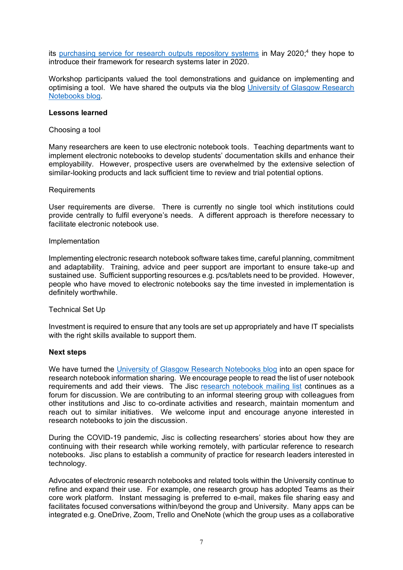its [purchasing service for research outputs repository systems](https://www.jisc.ac.uk/research-outputs-repository-systems-purchasing) in May 2020;<sup>4</sup> they hope to introduce their framework for research systems later in 2020.

Workshop participants valued the tool demonstrations and guidance on implementing and optimising a tool. We have shared the outputs via the blog [University of Glasgow Research](https://researchnotebooks.wordpress.com/)  [Notebooks blog.](https://researchnotebooks.wordpress.com/)

#### **Lessons learned**

#### Choosing a tool

Many researchers are keen to use electronic notebook tools. Teaching departments want to implement electronic notebooks to develop students' documentation skills and enhance their employability. However, prospective users are overwhelmed by the extensive selection of similar-looking products and lack sufficient time to review and trial potential options.

#### Requirements

User requirements are diverse. There is currently no single tool which institutions could provide centrally to fulfil everyone's needs. A different approach is therefore necessary to facilitate electronic notebook use.

#### Implementation

Implementing electronic research notebook software takes time, careful planning, commitment and adaptability. Training, advice and peer support are important to ensure take-up and sustained use. Sufficient supporting resources e.g. pcs/tablets need to be provided. However, people who have moved to electronic notebooks say the time invested in implementation is definitely worthwhile.

## Technical Set Up

Investment is required to ensure that any tools are set up appropriately and have IT specialists with the right skills available to support them.

## **Next steps**

We have turned the [University of Glasgow Research Notebooks blog](https://researchnotebooks.wordpress.com/) into an open space for research notebook information sharing. We encourage people to read the list of user notebook requirements and add their views. The Jisc [research notebook mailing list](https://www.jiscmail.ac.uk/cgi-bin/webadmin?A0=RESEARCHNOTEBOOKS) continues as a forum for discussion. We are contributing to an informal steering group with colleagues from other institutions and Jisc to co-ordinate activities and research, maintain momentum and reach out to similar initiatives. We welcome input and encourage anyone interested in research notebooks to join the discussion.

During the COVID-19 pandemic, Jisc is collecting researchers' stories about how they are continuing with their research while working remotely, with particular reference to research notebooks. Jisc plans to establish a community of practice for research leaders interested in technology.

Advocates of electronic research notebooks and related tools within the University continue to refine and expand their use. For example, one research group has adopted Teams as their core work platform. Instant messaging is preferred to e-mail, makes file sharing easy and facilitates focused conversations within/beyond the group and University. Many apps can be integrated e.g. OneDrive, Zoom, Trello and OneNote (which the group uses as a collaborative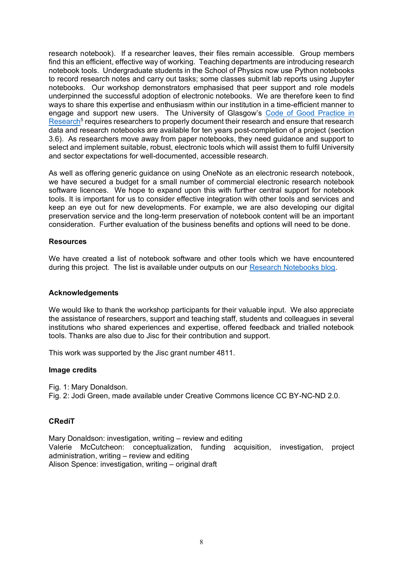research notebook). If a researcher leaves, their files remain accessible. Group members find this an efficient, effective way of working. Teaching departments are introducing research notebook tools. Undergraduate students in the School of Physics now use Python notebooks to record research notes and carry out tasks; some classes submit lab reports using Jupyter notebooks. Our workshop demonstrators emphasised that peer support and role models underpinned the successful adoption of electronic notebooks. We are therefore keen to find ways to share this expertise and enthusiasm within our institution in a time-efficient manner to engage and support new users. The University of Glasgow's [Code of Good Practice in](https://www.gla.ac.uk/myglasgow/ris/researchpolicies/ourpolicies/)  Research<sup>5</sup> requires researchers to properly document their research and ensure that research data and research notebooks are available for ten years post-completion of a project (section 3.6). As researchers move away from paper notebooks, they need guidance and support to select and implement suitable, robust, electronic tools which will assist them to fulfil University and sector expectations for well-documented, accessible research.

As well as offering generic guidance on using OneNote as an electronic research notebook, we have secured a budget for a small number of commercial electronic research notebook software licences. We hope to expand upon this with further central support for notebook tools. It is important for us to consider effective integration with other tools and services and keep an eye out for new developments. For example, we are also developing our digital preservation service and the long-term preservation of notebook content will be an important consideration. Further evaluation of the business benefits and options will need to be done.

## **Resources**

We have created a list of notebook software and other tools which we have encountered during this project. The list is available under outputs on our [Research Notebooks blog.](https://researchnotebooks.wordpress.com/)

#### **Acknowledgements**

We would like to thank the workshop participants for their valuable input. We also appreciate the assistance of researchers, support and teaching staff, students and colleagues in several institutions who shared experiences and expertise, offered feedback and trialled notebook tools. Thanks are also due to Jisc for their contribution and support.

This work was supported by the Jisc grant number 4811.

#### **Image credits**

Fig. 1: Mary Donaldson. Fig. 2: Jodi Green, made available under Creative Commons licence CC BY-NC-ND 2.0.

## **CRediT**

Mary Donaldson: investigation, writing – review and editing Valerie McCutcheon: conceptualization, funding acquisition, investigation, project administration, writing – review and editing Alison Spence: investigation, writing – original draft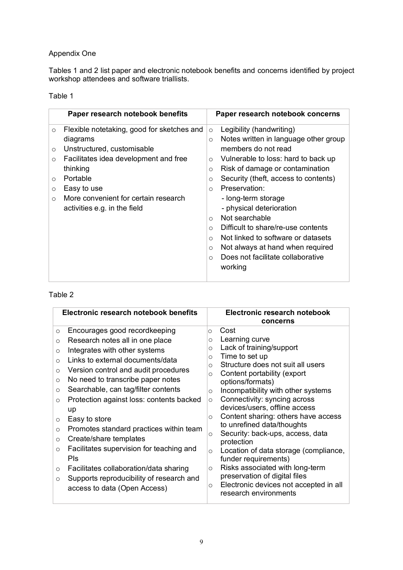# Appendix One

Tables 1 and 2 list paper and electronic notebook benefits and concerns identified by project workshop attendees and software triallists.

# Table 1

|                                                                | Paper research notebook benefits                                                                                                                                                                                                             | Paper research notebook concerns                                                                                                                                                                                                                                                                                                                                                                                                                                                                                                                                                                |  |
|----------------------------------------------------------------|----------------------------------------------------------------------------------------------------------------------------------------------------------------------------------------------------------------------------------------------|-------------------------------------------------------------------------------------------------------------------------------------------------------------------------------------------------------------------------------------------------------------------------------------------------------------------------------------------------------------------------------------------------------------------------------------------------------------------------------------------------------------------------------------------------------------------------------------------------|--|
| $\circ$<br>$\circ$<br>$\circ$<br>$\circ$<br>$\circ$<br>$\circ$ | Flexible notetaking, good for sketches and<br>diagrams<br>Unstructured, customisable<br>Facilitates idea development and free<br>thinking<br>Portable<br>Easy to use<br>More convenient for certain research<br>activities e.g. in the field | Legibility (handwriting)<br>$\circ$<br>Notes written in language other group<br>$\circ$<br>members do not read<br>Vulnerable to loss: hard to back up<br>$\circ$<br>Risk of damage or contamination<br>$\circ$<br>Security (theft, access to contents)<br>$\circ$<br>Preservation:<br>$\bigcirc$<br>- long-term storage<br>- physical deterioration<br>Not searchable<br>$\circ$<br>Difficult to share/re-use contents<br>$\circ$<br>Not linked to software or datasets<br>$\circ$<br>Not always at hand when required<br>$\circ$<br>Does not facilitate collaborative<br>$\bigcirc$<br>working |  |
|                                                                |                                                                                                                                                                                                                                              |                                                                                                                                                                                                                                                                                                                                                                                                                                                                                                                                                                                                 |  |

# Table 2

| Electronic research notebook benefits                                                                                                                                                                                                                                                                                                                                                                                                                                                                                                                                                                                                                                                                                                 | Electronic research notebook<br>concerns                                                                                                                                                                                                                                                                                                                                                                                                                                                                                                                                                                                                                                                                                                    |  |  |
|---------------------------------------------------------------------------------------------------------------------------------------------------------------------------------------------------------------------------------------------------------------------------------------------------------------------------------------------------------------------------------------------------------------------------------------------------------------------------------------------------------------------------------------------------------------------------------------------------------------------------------------------------------------------------------------------------------------------------------------|---------------------------------------------------------------------------------------------------------------------------------------------------------------------------------------------------------------------------------------------------------------------------------------------------------------------------------------------------------------------------------------------------------------------------------------------------------------------------------------------------------------------------------------------------------------------------------------------------------------------------------------------------------------------------------------------------------------------------------------------|--|--|
| Encourages good recordkeeping<br>$\circ$<br>Research notes all in one place<br>$\circ$<br>Integrates with other systems<br>$\circ$<br>Links to external documents/data<br>$\Omega$<br>Version control and audit procedures<br>$\circ$<br>No need to transcribe paper notes<br>$\circ$<br>Searchable, can tag/filter contents<br>$\circ$<br>Protection against loss: contents backed<br>$\circ$<br>up<br>Easy to store<br>$\circ$<br>Promotes standard practices within team<br>$\circ$<br>Create/share templates<br>$\circ$<br>Facilitates supervision for teaching and<br>$\circ$<br>Pls<br>Facilitates collaboration/data sharing<br>$\circ$<br>Supports reproducibility of research and<br>$\circ$<br>access to data (Open Access) | Cost<br>$\circ$<br>Learning curve<br>$\circ$<br>Lack of training/support<br>$\circ$<br>Time to set up<br>$\circ$<br>Structure does not suit all users<br>$\circ$<br>Content portability (export<br>$\circ$<br>options/formats)<br>Incompatibility with other systems<br>$\circ$<br>Connectivity: syncing across<br>$\circ$<br>devices/users, offline access<br>Content sharing: others have access<br>$\circ$<br>to unrefined data/thoughts<br>Security: back-ups, access, data<br>O<br>protection<br>Location of data storage (compliance,<br>$\circ$<br>funder requirements)<br>Risks associated with long-term<br>$\circ$<br>preservation of digital files<br>Electronic devices not accepted in all<br>$\circ$<br>research environments |  |  |